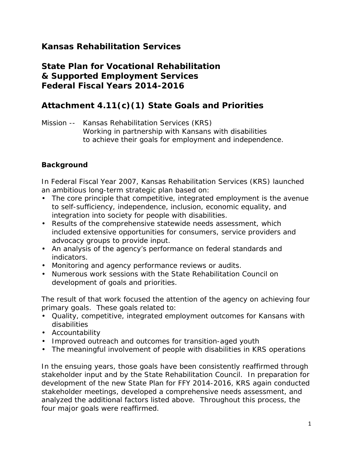# **Kansas Rehabilitation Services**

## **State Plan for Vocational Rehabilitation & Supported Employment Services Federal Fiscal Years 2014-2016**

## **Attachment 4.11(c)(1) State Goals and Priorities**

Mission -- Kansas Rehabilitation Services (KRS) *Working in partnership with Kansans with disabilities to achieve their goals for employment and independence.* 

### **Background**

In Federal Fiscal Year 2007, Kansas Rehabilitation Services (KRS) launched an ambitious long-term strategic plan based on:

- The core principle that competitive, integrated employment is the avenue to self-sufficiency, independence, inclusion, economic equality, and integration into society for people with disabilities.
- Results of the comprehensive statewide needs assessment, which included extensive opportunities for consumers, service providers and advocacy groups to provide input.
- An analysis of the agency's performance on federal standards and indicators.
- Monitoring and agency performance reviews or audits.
- Numerous work sessions with the State Rehabilitation Council on development of goals and priorities.

The result of that work focused the attention of the agency on achieving four primary goals. These goals related to:

- Quality, competitive, integrated employment outcomes for Kansans with disabilities
- Accountability
- Improved outreach and outcomes for transition-aged youth
- The meaningful involvement of people with disabilities in KRS operations

In the ensuing years, those goals have been consistently reaffirmed through stakeholder input and by the State Rehabilitation Council. In preparation for development of the new State Plan for FFY 2014-2016, KRS again conducted stakeholder meetings, developed a comprehensive needs assessment, and analyzed the additional factors listed above. Throughout this process, the four major goals were reaffirmed.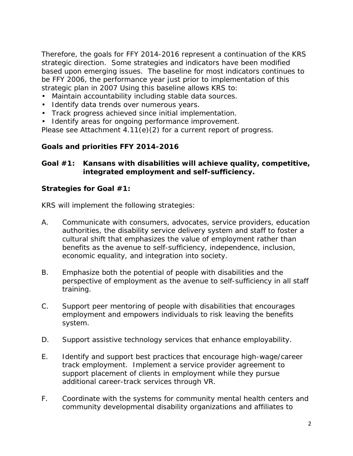Therefore, the goals for FFY 2014-2016 represent a continuation of the KRS strategic direction. Some strategies and indicators have been modified based upon emerging issues. The baseline for most indicators continues to be FFY 2006, the performance year just prior to implementation of this strategic plan in 2007 Using this baseline allows KRS to:

- Maintain accountability including stable data sources.
- Identify data trends over numerous years.
- Track progress achieved since initial implementation.
- Identify areas for ongoing performance improvement.

Please see Attachment 4.11(e)(2) for a current report of progress.

## **Goals and priorities FFY 2014-2016**

## **Goal #1: Kansans with disabilities will achieve quality, competitive, integrated employment and self-sufficiency.**

#### **Strategies for Goal #1:**

KRS will implement the following strategies:

- A. Communicate with consumers, advocates, service providers, education authorities, the disability service delivery system and staff to foster a cultural shift that emphasizes the value of employment rather than benefits as the avenue to self-sufficiency, independence, inclusion, economic equality, and integration into society.
- B. Emphasize both the potential of people with disabilities and the perspective of employment as the avenue to self-sufficiency in all staff training.
- C. Support peer mentoring of people with disabilities that encourages employment and empowers individuals to risk leaving the benefits system.
- D. Support assistive technology services that enhance employability.
- E. Identify and support best practices that encourage high-wage/career track employment. Implement a service provider agreement to support placement of clients in employment while they pursue additional career-track services through VR.
- F. Coordinate with the systems for community mental health centers and community developmental disability organizations and affiliates to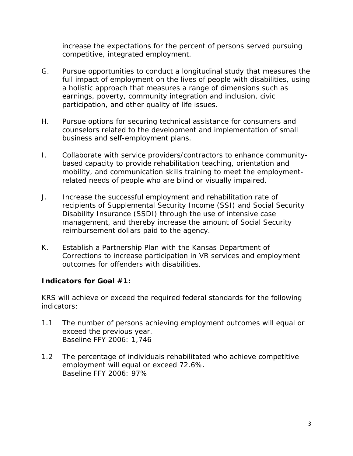increase the expectations for the percent of persons served pursuing competitive, integrated employment.

- G. Pursue opportunities to conduct a longitudinal study that measures the full impact of employment on the lives of people with disabilities, using a holistic approach that measures a range of dimensions such as earnings, poverty, community integration and inclusion, civic participation, and other quality of life issues.
- H. Pursue options for securing technical assistance for consumers and counselors related to the development and implementation of small business and self-employment plans.
- I. Collaborate with service providers/contractors to enhance communitybased capacity to provide rehabilitation teaching, orientation and mobility, and communication skills training to meet the employmentrelated needs of people who are blind or visually impaired.
- J. Increase the successful employment and rehabilitation rate of recipients of Supplemental Security Income (SSI) and Social Security Disability Insurance (SSDI) through the use of intensive case management, and thereby increase the amount of Social Security reimbursement dollars paid to the agency.
- K. Establish a Partnership Plan with the Kansas Department of Corrections to increase participation in VR services and employment outcomes for offenders with disabilities.

#### **Indicators for Goal #1:**

KRS will achieve or exceed the required federal standards for the following indicators:

- 1.1 The number of persons achieving employment outcomes will equal or exceed the previous year. Baseline FFY 2006: 1,746
- 1.2 The percentage of individuals rehabilitated who achieve competitive employment will equal or exceed 72.6%. Baseline FFY 2006: 97%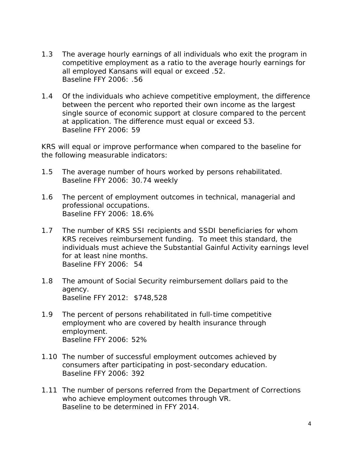- 1.3 The average hourly earnings of all individuals who exit the program in competitive employment as a ratio to the average hourly earnings for all employed Kansans will equal or exceed .52. Baseline FFY 2006: .56
- 1.4 Of the individuals who achieve competitive employment, the difference between the percent who reported their own income as the largest single source of economic support at closure compared to the percent at application. The difference must equal or exceed 53. Baseline FFY 2006: 59

KRS will equal or improve performance when compared to the baseline for the following measurable indicators:

- 1.5 The average number of hours worked by persons rehabilitated. Baseline FFY 2006: 30.74 weekly
- 1.6 The percent of employment outcomes in technical, managerial and professional occupations. Baseline FFY 2006: 18.6%
- 1.7 The number of KRS SSI recipients and SSDI beneficiaries for whom KRS receives reimbursement funding. To meet this standard, the individuals must achieve the Substantial Gainful Activity earnings level for at least nine months. Baseline FFY 2006: 54
- 1.8 The amount of Social Security reimbursement dollars paid to the agency. Baseline FFY 2012: \$748,528
- 1.9 The percent of persons rehabilitated in full-time competitive employment who are covered by health insurance through employment. Baseline FFY 2006: 52%
- 1.10 The number of successful employment outcomes achieved by consumers after participating in post-secondary education. Baseline FFY 2006: 392
- 1.11 The number of persons referred from the Department of Corrections who achieve employment outcomes through VR. Baseline to be determined in FFY 2014.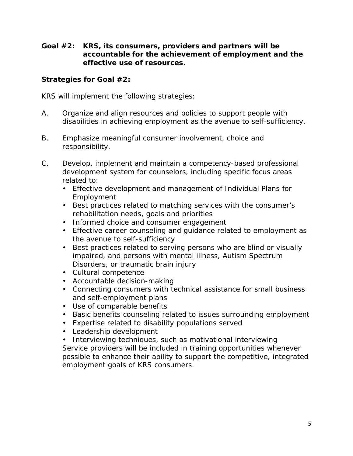**Goal #2: KRS, its consumers, providers and partners will be accountable for the achievement of employment and the effective use of resources.**

#### **Strategies for Goal #2:**

KRS will implement the following strategies:

- A. Organize and align resources and policies to support people with disabilities in achieving employment as the avenue to self-sufficiency.
- B. Emphasize meaningful consumer involvement, choice and responsibility.
- C. Develop, implement and maintain a competency-based professional development system for counselors, including specific focus areas related to:
	- Effective development and management of Individual Plans for Employment
	- Best practices related to matching services with the consumer's rehabilitation needs, goals and priorities
	- Informed choice and consumer engagement
	- Effective career counseling and guidance related to employment as the avenue to self-sufficiency
	- Best practices related to serving persons who are blind or visually impaired, and persons with mental illness, Autism Spectrum Disorders, or traumatic brain injury
	- Cultural competence
	- Accountable decision-making
	- Connecting consumers with technical assistance for small business and self-employment plans
	- Use of comparable benefits
	- Basic benefits counseling related to issues surrounding employment
	- Expertise related to disability populations served
	- Leadership development
	- Interviewing techniques, such as motivational interviewing

Service providers will be included in training opportunities whenever possible to enhance their ability to support the competitive, integrated employment goals of KRS consumers.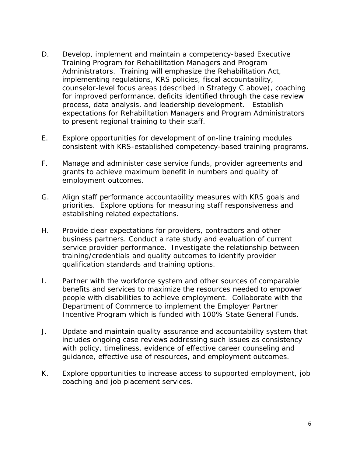- D. Develop, implement and maintain a competency-based Executive Training Program for Rehabilitation Managers and Program Administrators. Training will emphasize the Rehabilitation Act, implementing regulations, KRS policies, fiscal accountability, counselor-level focus areas (described in Strategy C above), coaching for improved performance, deficits identified through the case review process, data analysis, and leadership development. Establish expectations for Rehabilitation Managers and Program Administrators to present regional training to their staff.
- E. Explore opportunities for development of on-line training modules consistent with KRS-established competency-based training programs.
- F. Manage and administer case service funds, provider agreements and grants to achieve maximum benefit in numbers and quality of employment outcomes.
- G. Align staff performance accountability measures with KRS goals and priorities. Explore options for measuring staff responsiveness and establishing related expectations.
- H. Provide clear expectations for providers, contractors and other business partners. Conduct a rate study and evaluation of current service provider performance. Investigate the relationship between training/credentials and quality outcomes to identify provider qualification standards and training options.
- I. Partner with the workforce system and other sources of comparable benefits and services to maximize the resources needed to empower people with disabilities to achieve employment. Collaborate with the Department of Commerce to implement the Employer Partner Incentive Program which is funded with 100% State General Funds.
- J. Update and maintain quality assurance and accountability system that includes ongoing case reviews addressing such issues as consistency with policy, timeliness, evidence of effective career counseling and guidance, effective use of resources, and employment outcomes.
- K. Explore opportunities to increase access to supported employment, job coaching and job placement services.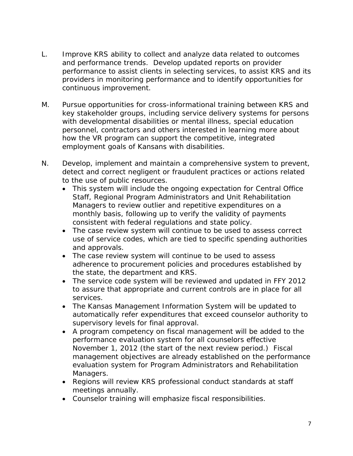- L. Improve KRS ability to collect and analyze data related to outcomes and performance trends. Develop updated reports on provider performance to assist clients in selecting services, to assist KRS and its providers in monitoring performance and to identify opportunities for continuous improvement.
- M. Pursue opportunities for cross-informational training between KRS and key stakeholder groups, including service delivery systems for persons with developmental disabilities or mental illness, special education personnel, contractors and others interested in learning more about how the VR program can support the competitive, integrated employment goals of Kansans with disabilities.
- N. Develop, implement and maintain a comprehensive system to prevent, detect and correct negligent or fraudulent practices or actions related to the use of public resources.
	- This system will include the ongoing expectation for Central Office Staff, Regional Program Administrators and Unit Rehabilitation Managers to review outlier and repetitive expenditures on a monthly basis, following up to verify the validity of payments consistent with federal regulations and state policy.
	- The case review system will continue to be used to assess correct use of service codes, which are tied to specific spending authorities and approvals.
	- The case review system will continue to be used to assess adherence to procurement policies and procedures established by the state, the department and KRS.
	- The service code system will be reviewed and updated in FFY 2012 to assure that appropriate and current controls are in place for all services.
	- The Kansas Management Information System will be updated to automatically refer expenditures that exceed counselor authority to supervisory levels for final approval.
	- A program competency on fiscal management will be added to the performance evaluation system for all counselors effective November 1, 2012 (the start of the next review period.) Fiscal management objectives are already established on the performance evaluation system for Program Administrators and Rehabilitation Managers.
	- Regions will review KRS professional conduct standards at staff meetings annually.
	- Counselor training will emphasize fiscal responsibilities.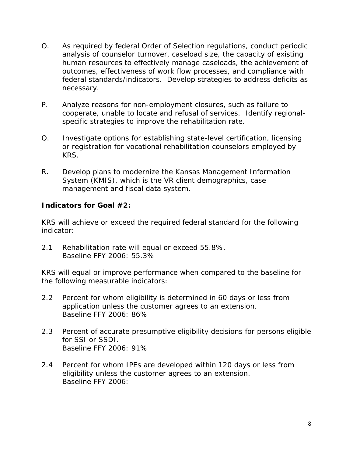- O. As required by federal Order of Selection regulations, conduct periodic analysis of counselor turnover, caseload size, the capacity of existing human resources to effectively manage caseloads, the achievement of outcomes, effectiveness of work flow processes, and compliance with federal standards/indicators. Develop strategies to address deficits as necessary.
- P. Analyze reasons for non-employment closures, such as failure to cooperate, unable to locate and refusal of services. Identify regionalspecific strategies to improve the rehabilitation rate.
- Q. Investigate options for establishing state-level certification, licensing or registration for vocational rehabilitation counselors employed by KRS.
- R. Develop plans to modernize the Kansas Management Information System (KMIS), which is the VR client demographics, case management and fiscal data system.

#### **Indicators for Goal #2:**

KRS will achieve or exceed the required federal standard for the following indicator:

2.1 Rehabilitation rate will equal or exceed 55.8%. Baseline FFY 2006: 55.3%

KRS will equal or improve performance when compared to the baseline for the following measurable indicators:

- 2.2 Percent for whom eligibility is determined in 60 days or less from application unless the customer agrees to an extension. Baseline FFY 2006: 86%
- 2.3 Percent of accurate presumptive eligibility decisions for persons eligible for SSI or SSDI. Baseline FFY 2006: 91%
- 2.4 Percent for whom IPEs are developed within 120 days or less from eligibility unless the customer agrees to an extension. Baseline FFY 2006: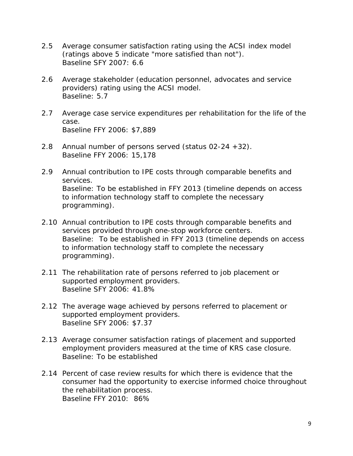- 2.5 Average consumer satisfaction rating using the ACSI index model (ratings above 5 indicate "more satisfied than not"). Baseline SFY 2007: 6.6
- 2.6 Average stakeholder (education personnel, advocates and service providers) rating using the ACSI model. Baseline: 5.7
- 2.7 Average case service expenditures per rehabilitation for the life of the case. Baseline FFY 2006: \$7,889
- 2.8 Annual number of persons served (status 02-24 +32). Baseline FFY 2006: 15,178
- 2.9 Annual contribution to IPE costs through comparable benefits and services. Baseline: To be established in FFY 2013 (timeline depends on access to information technology staff to complete the necessary programming).
- 2.10 Annual contribution to IPE costs through comparable benefits and services provided through one-stop workforce centers. Baseline: To be established in FFY 2013 (timeline depends on access to information technology staff to complete the necessary programming).
- 2.11 The rehabilitation rate of persons referred to job placement or supported employment providers. Baseline SFY 2006: 41.8%
- 2.12 The average wage achieved by persons referred to placement or supported employment providers. Baseline SFY 2006: \$7.37
- 2.13 Average consumer satisfaction ratings of placement and supported employment providers measured at the time of KRS case closure. Baseline: To be established
- 2.14 Percent of case review results for which there is evidence that the consumer had the opportunity to exercise informed choice throughout the rehabilitation process. Baseline FFY 2010: 86%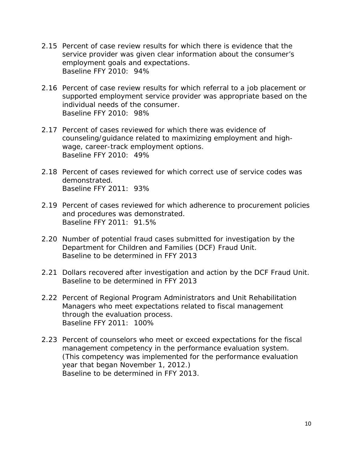- 2.15 Percent of case review results for which there is evidence that the service provider was given clear information about the consumer's employment goals and expectations. Baseline FFY 2010: 94%
- 2.16 Percent of case review results for which referral to a job placement or supported employment service provider was appropriate based on the individual needs of the consumer. Baseline FFY 2010: 98%
- 2.17 Percent of cases reviewed for which there was evidence of counseling/guidance related to maximizing employment and highwage, career-track employment options. Baseline FFY 2010: 49%
- 2.18 Percent of cases reviewed for which correct use of service codes was demonstrated. Baseline FFY 2011: 93%
- 2.19 Percent of cases reviewed for which adherence to procurement policies and procedures was demonstrated. Baseline FFY 2011: 91.5%
- 2.20 Number of potential fraud cases submitted for investigation by the Department for Children and Families (DCF) Fraud Unit. Baseline to be determined in FFY 2013
- 2.21 Dollars recovered after investigation and action by the DCF Fraud Unit. Baseline to be determined in FFY 2013
- 2.22 Percent of Regional Program Administrators and Unit Rehabilitation Managers who meet expectations related to fiscal management through the evaluation process. Baseline FFY 2011: 100%
- 2.23 Percent of counselors who meet or exceed expectations for the fiscal management competency in the performance evaluation system. (This competency was implemented for the performance evaluation year that began November 1, 2012.) Baseline to be determined in FFY 2013.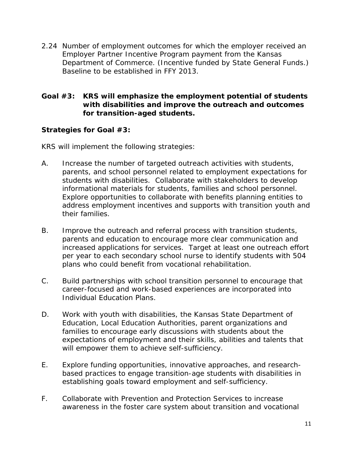2.24 Number of employment outcomes for which the employer received an Employer Partner Incentive Program payment from the Kansas Department of Commerce. (Incentive funded by State General Funds.) Baseline to be established in FFY 2013.

#### **Goal #3: KRS will emphasize the employment potential of students with disabilities and improve the outreach and outcomes for transition-aged students.**

### **Strategies for Goal #3:**

KRS will implement the following strategies:

- A. Increase the number of targeted outreach activities with students, parents, and school personnel related to employment expectations for students with disabilities. Collaborate with stakeholders to develop informational materials for students, families and school personnel. Explore opportunities to collaborate with benefits planning entities to address employment incentives and supports with transition youth and their families.
- B. Improve the outreach and referral process with transition students, parents and education to encourage more clear communication and increased applications for services. Target at least one outreach effort per year to each secondary school nurse to identify students with 504 plans who could benefit from vocational rehabilitation.
- C. Build partnerships with school transition personnel to encourage that career-focused and work-based experiences are incorporated into Individual Education Plans.
- D. Work with youth with disabilities, the Kansas State Department of Education, Local Education Authorities, parent organizations and families to encourage early discussions with students about the expectations of employment and their skills, abilities and talents that will empower them to achieve self-sufficiency.
- E. Explore funding opportunities, innovative approaches, and researchbased practices to engage transition-age students with disabilities in establishing goals toward employment and self-sufficiency.
- F. Collaborate with Prevention and Protection Services to increase awareness in the foster care system about transition and vocational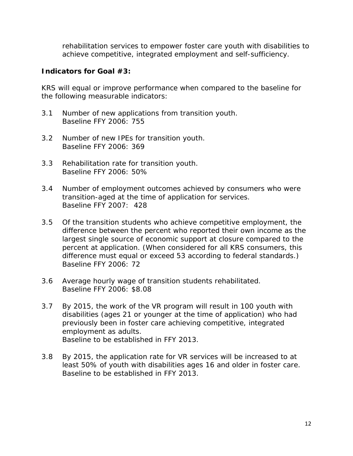rehabilitation services to empower foster care youth with disabilities to achieve competitive, integrated employment and self-sufficiency.

#### **Indicators for Goal #3:**

KRS will equal or improve performance when compared to the baseline for the following measurable indicators:

- 3.1 Number of new applications from transition youth. Baseline FFY 2006: 755
- 3.2 Number of new IPEs for transition youth. Baseline FFY 2006: 369
- 3.3 Rehabilitation rate for transition youth. Baseline FFY 2006: 50%
- 3.4 Number of employment outcomes achieved by consumers who were transition-aged at the time of application for services. Baseline FFY 2007: 428
- 3.5 Of the transition students who achieve competitive employment, the difference between the percent who reported their own income as the largest single source of economic support at closure compared to the percent at application. (When considered for all KRS consumers, this difference must equal or exceed 53 according to federal standards.) Baseline FFY 2006: 72
- 3.6 Average hourly wage of transition students rehabilitated. Baseline FFY 2006: \$8.08
- 3.7 By 2015, the work of the VR program will result in 100 youth with disabilities (ages 21 or younger at the time of application) who had previously been in foster care achieving competitive, integrated employment as adults. Baseline to be established in FFY 2013.
- 3.8 By 2015, the application rate for VR services will be increased to at least 50% of youth with disabilities ages 16 and older in foster care. Baseline to be established in FFY 2013.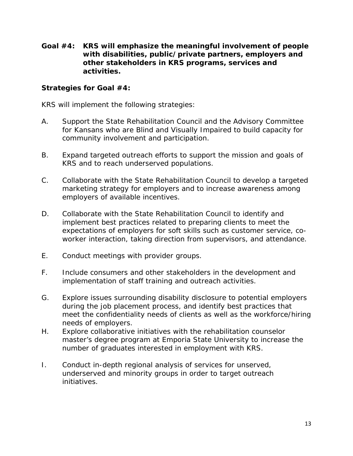**Goal #4: KRS will emphasize the meaningful involvement of people with disabilities, public/private partners, employers and other stakeholders in KRS programs, services and activities.**

#### **Strategies for Goal #4:**

KRS will implement the following strategies:

- A. Support the State Rehabilitation Council and the Advisory Committee for Kansans who are Blind and Visually Impaired to build capacity for community involvement and participation.
- B. Expand targeted outreach efforts to support the mission and goals of KRS and to reach underserved populations.
- C. Collaborate with the State Rehabilitation Council to develop a targeted marketing strategy for employers and to increase awareness among employers of available incentives.
- D. Collaborate with the State Rehabilitation Council to identify and implement best practices related to preparing clients to meet the expectations of employers for soft skills such as customer service, coworker interaction, taking direction from supervisors, and attendance.
- E. Conduct meetings with provider groups.
- F. Include consumers and other stakeholders in the development and implementation of staff training and outreach activities.
- G. Explore issues surrounding disability disclosure to potential employers during the job placement process, and identify best practices that meet the confidentiality needs of clients as well as the workforce/hiring needs of employers.
- H. Explore collaborative initiatives with the rehabilitation counselor master's degree program at Emporia State University to increase the number of graduates interested in employment with KRS.
- I. Conduct in-depth regional analysis of services for unserved, underserved and minority groups in order to target outreach initiatives.